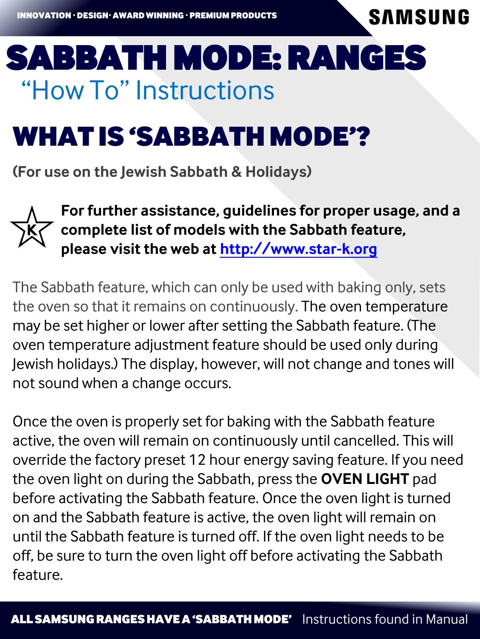**SAMSUNG** 

# "How To" Instructions Sabbath Mode: Ranges

# WHAt iS 'SAbbAtH mode'?

**(For use on the Jewish Sabbath & Holidays)**



**For further assistance, guidelines for proper usage, and a complete list of models with the Sabbath feature, please visit the web at [http://www.star-k.org](http://www.star-k.org/)**

The Sabbath feature, which can only be used with baking only, sets the oven so that it remains on continuously. The oven temperature may be set higher or lower after setting the Sabbath feature. (The oven temperature adjustment feature should be used only during Jewish holidays.) The display, however, will not change and tones will not sound when a change occurs.

Once the oven is properly set for baking with the Sabbath feature active, the oven will remain on continuously until cancelled. This will override the factory preset 12 hour energy saving feature. If you need the oven light on during the Sabbath, press the **OVEN LIGHT** pad before activating the Sabbath feature. Once the oven light is turned on and the Sabbath feature is active, the oven light will remain on until the Sabbath feature is turned off. If the oven light needs to be off, be sure to turn the oven light off before activating the Sabbath feature.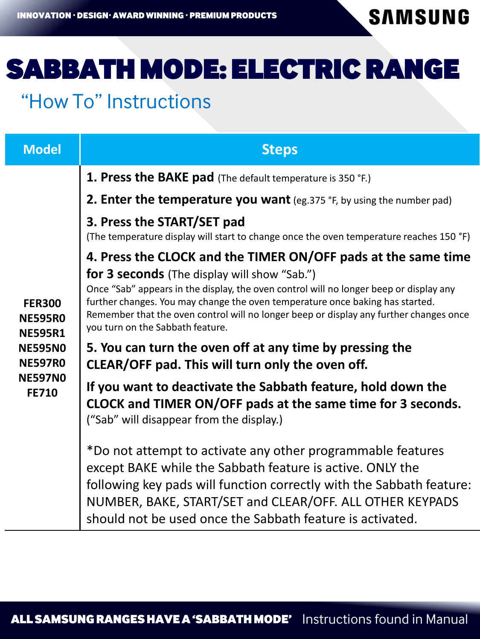**SAMSUNG** 

# Sabbath Mode: Electric Range

### "How To" Instructions

| <b>Model</b>                                                                                                            | <b>Steps</b>                                                                                                                                                                                                                                                                                                                                                 |
|-------------------------------------------------------------------------------------------------------------------------|--------------------------------------------------------------------------------------------------------------------------------------------------------------------------------------------------------------------------------------------------------------------------------------------------------------------------------------------------------------|
| <b>FER300</b><br><b>NE595R0</b><br><b>NE595R1</b><br><b>NE595NO</b><br><b>NE597R0</b><br><b>NE597NO</b><br><b>FE710</b> | 1. Press the BAKE pad (The default temperature is 350 °F.)                                                                                                                                                                                                                                                                                                   |
|                                                                                                                         | <b>2. Enter the temperature you want</b> (eg. 375 $\degree$ F, by using the number pad)                                                                                                                                                                                                                                                                      |
|                                                                                                                         | 3. Press the START/SET pad<br>(The temperature display will start to change once the oven temperature reaches 150 °F)                                                                                                                                                                                                                                        |
|                                                                                                                         | 4. Press the CLOCK and the TIMER ON/OFF pads at the same time                                                                                                                                                                                                                                                                                                |
|                                                                                                                         | <b>for 3 seconds</b> (The display will show "Sab.")<br>Once "Sab" appears in the display, the oven control will no longer beep or display any<br>further changes. You may change the oven temperature once baking has started.<br>Remember that the oven control will no longer beep or display any further changes once<br>you turn on the Sabbath feature. |
|                                                                                                                         | 5. You can turn the oven off at any time by pressing the<br>CLEAR/OFF pad. This will turn only the oven off.                                                                                                                                                                                                                                                 |
|                                                                                                                         | If you want to deactivate the Sabbath feature, hold down the<br>CLOCK and TIMER ON/OFF pads at the same time for 3 seconds.<br>("Sab" will disappear from the display.)                                                                                                                                                                                      |
|                                                                                                                         | *Do not attempt to activate any other programmable features<br>except BAKE while the Sabbath feature is active. ONLY the<br>following key pads will function correctly with the Sabbath feature:<br>NUMBER, BAKE, START/SET and CLEAR/OFF. ALL OTHER KEYPADS<br>should not be used once the Sabbath feature is activated.                                    |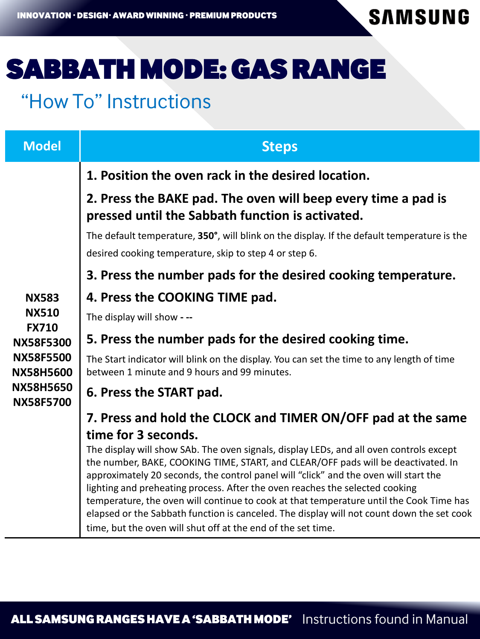**SAMSUNG** 

### Sabbath Mode: Gas Range

### "How To" Instructions

| <b>Model</b>                                                                                                                                     | <b>Steps</b>                                                                                                                                                                                                                                                                                                                                                                                                                                                                                                                                                                                                 |
|--------------------------------------------------------------------------------------------------------------------------------------------------|--------------------------------------------------------------------------------------------------------------------------------------------------------------------------------------------------------------------------------------------------------------------------------------------------------------------------------------------------------------------------------------------------------------------------------------------------------------------------------------------------------------------------------------------------------------------------------------------------------------|
| <b>NX583</b><br><b>NX510</b><br><b>FX710</b><br><b>NX58F5300</b><br><b>NX58F5500</b><br><b>NX58H5600</b><br><b>NX58H5650</b><br><b>NX58F5700</b> | 1. Position the oven rack in the desired location.                                                                                                                                                                                                                                                                                                                                                                                                                                                                                                                                                           |
|                                                                                                                                                  | 2. Press the BAKE pad. The oven will beep every time a pad is<br>pressed until the Sabbath function is activated.                                                                                                                                                                                                                                                                                                                                                                                                                                                                                            |
|                                                                                                                                                  | The default temperature, 350°, will blink on the display. If the default temperature is the<br>desired cooking temperature, skip to step 4 or step 6.                                                                                                                                                                                                                                                                                                                                                                                                                                                        |
|                                                                                                                                                  | 3. Press the number pads for the desired cooking temperature.                                                                                                                                                                                                                                                                                                                                                                                                                                                                                                                                                |
|                                                                                                                                                  | 4. Press the COOKING TIME pad.                                                                                                                                                                                                                                                                                                                                                                                                                                                                                                                                                                               |
|                                                                                                                                                  | The display will show - --                                                                                                                                                                                                                                                                                                                                                                                                                                                                                                                                                                                   |
|                                                                                                                                                  | 5. Press the number pads for the desired cooking time.                                                                                                                                                                                                                                                                                                                                                                                                                                                                                                                                                       |
|                                                                                                                                                  | The Start indicator will blink on the display. You can set the time to any length of time<br>between 1 minute and 9 hours and 99 minutes.                                                                                                                                                                                                                                                                                                                                                                                                                                                                    |
|                                                                                                                                                  | 6. Press the START pad.                                                                                                                                                                                                                                                                                                                                                                                                                                                                                                                                                                                      |
|                                                                                                                                                  | 7. Press and hold the CLOCK and TIMER ON/OFF pad at the same                                                                                                                                                                                                                                                                                                                                                                                                                                                                                                                                                 |
|                                                                                                                                                  | time for 3 seconds.                                                                                                                                                                                                                                                                                                                                                                                                                                                                                                                                                                                          |
|                                                                                                                                                  | The display will show SAb. The oven signals, display LEDs, and all oven controls except<br>the number, BAKE, COOKING TIME, START, and CLEAR/OFF pads will be deactivated. In<br>approximately 20 seconds, the control panel will "click" and the oven will start the<br>lighting and preheating process. After the oven reaches the selected cooking<br>temperature, the oven will continue to cook at that temperature until the Cook Time has<br>elapsed or the Sabbath function is canceled. The display will not count down the set cook<br>time, but the oven will shut off at the end of the set time. |